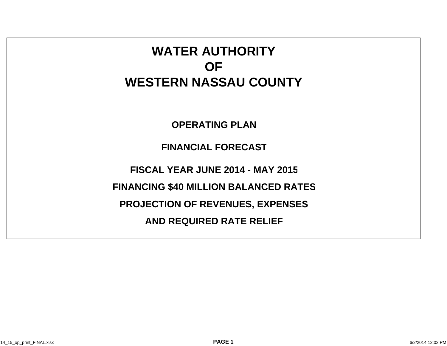# **WATER AUTHORITYOFWESTERN NASSAU COUNTY**

**OPERATING PLAN**

**FINANCIAL FORECAST**

**FISCAL YEAR JUNE 2014 - MAY 2015**

**FINANCING \$40 MILLION BALANCED RATES**

**PROJECTION OF REVENUES, EXPENSES**

**AND REQUIRED RATE RELIEF**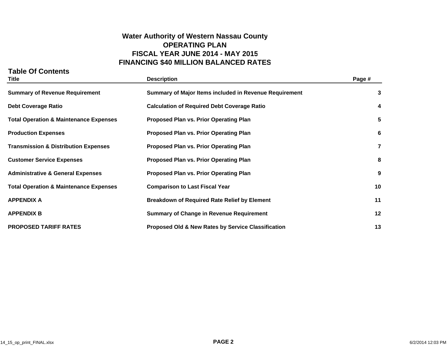## **Water Authority of Western Nassau County OPERATING PLANFISCAL YEAR JUNE 2014 - MAY 2015 FINANCING \$40 MILLION BALANCED RATES**

### **Table Of Contents**

| <b>Title</b>                                      | <b>Description</b>                                            | Page #                  |
|---------------------------------------------------|---------------------------------------------------------------|-------------------------|
| <b>Summary of Revenue Requirement</b>             | Summary of Major Items included in Revenue Requirement        | 3                       |
| <b>Debt Coverage Ratio</b>                        | <b>Calculation of Required Debt Coverage Ratio</b>            | 4                       |
| <b>Total Operation &amp; Maintenance Expenses</b> | <b>Proposed Plan vs. Prior Operating Plan</b>                 | 5                       |
| <b>Production Expenses</b>                        | <b>Proposed Plan vs. Prior Operating Plan</b>                 | 6                       |
| <b>Transmission &amp; Distribution Expenses</b>   | <b>Proposed Plan vs. Prior Operating Plan</b>                 | $\overline{\mathbf{r}}$ |
| <b>Customer Service Expenses</b>                  | <b>Proposed Plan vs. Prior Operating Plan</b>                 | 8                       |
| <b>Administrative &amp; General Expenses</b>      | <b>Proposed Plan vs. Prior Operating Plan</b>                 | 9                       |
| <b>Total Operation &amp; Maintenance Expenses</b> | <b>Comparison to Last Fiscal Year</b>                         | 10                      |
| <b>APPENDIX A</b>                                 | <b>Breakdown of Required Rate Relief by Element</b>           | 11                      |
| <b>APPENDIX B</b>                                 | <b>Summary of Change in Revenue Requirement</b>               | 12                      |
| <b>PROPOSED TARIFF RATES</b>                      | <b>Proposed Old &amp; New Rates by Service Classification</b> | 13                      |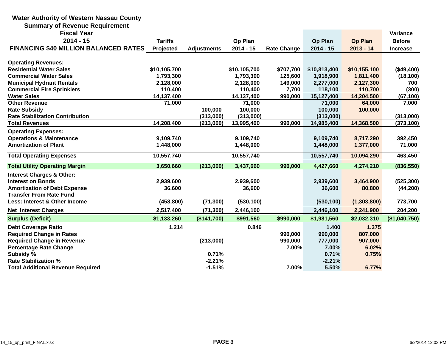#### **Water Authority of Western Nassau County Summary of Revenue Requirement Fiscal Yearr** and the contract of the contract of the contract of the contract of the contract of the contract of the contract of the contract of the contract of the contract of the contract of the contract of the contract of the co **2014 - 15 Tariffs Op Plan Op Plan Op Plan Before FINANCING \$40 MILLION BALANCED RATES Projected Adjustments 2014 - 15 Rate Change 2014 - 15 2013 - 14 Increase Operating Revenues: Residential Water Sales \$10,105,700 \$10,105,700 \$707,700 \$10,813,400 \$10,155,100 (\$49,400) Commercial Water Sales 1,793,300 1,793,300 125,600 1,918,900 1,811,400 (18,100) Municipal Hydrant Rentals 2,128,000 2,128,000 149,000 2,277,000 2,127,300 700 Commercial Fire Sprinklers 110,400 110,400 7,700 118,100 110,700 (300) Water Sales 14,137,400 14,137,400 990,000 15,127,400 14,204,500 (67,100) Other Revenue 71,000 71,000 71,000 64,000 7,000 Rate Subsidy 100,000 100,000 100,000 100,000 Rate Stabilization Contribution (313,000) (313,000) (313,000) (313,000) Total Revenues 14,208,400 (213,000) 13,995,400 990,000 14,985,400 14,368,500 (373,100) Operating Expenses: Operations & Maintenance 9,109,740 9,109,740 9,109,740 8,717,290 392,450 Amortization of Plant 1,448,000 1,448,000 1,448,000 1,377,000 71,000 Total Operating Expenses 10,557,740 10,557,740 10,557,740 10,094,290 463,450 Total Utility Operating Margin 3,650,660 (213,000) 3,437,660 990,000 4,427,660 4,274,210 (836,550) Interest Charges & Other: Interest on Bonds 2,939,600 2,939,600 2,939,600 3,464,900 (525,300) Amortization of Debt Expense 36,600 36,600 36,600 80,800 (44,200) Transfer From Rate FundLess: Interest & Other Income (458,800) (71,300) (530,100) (530,100) (1,303,800) 773,700 Net Interest Charges 2,517,400 (71,300) 2,446,100 2,446,100 2,241,900 204,200 Surplus (Deficit) \$1,133,260 (\$141,700) \$991,560 \$990,000 \$1,981,560 \$2,032,310 (\$1,040,750) Debt Coverage Ratio 1.214 0.846 1.400 1.375 Required Change in Rates 990,000 990,000 807,000 Required Change in Revenue (213,000) 990,000 777,000 907,000 Percentage Rate Change 7.00% 7.00% 6.02% Subsidy % 0.71% 0.71% 0.75% Rate Stabilization % -2.21% -2.21%Total Additional Revenue Required -1.51% 7.00% 5.50% 6.77%**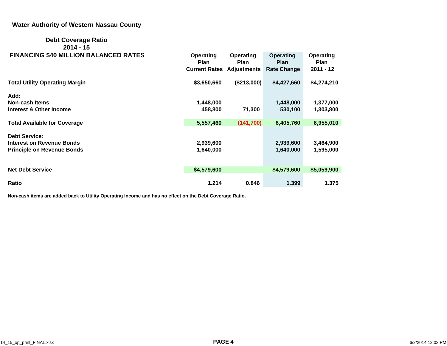#### **Water Authority of Western Nassau County**

#### **Debt Coverage Ratio 2014 - 15FINANCING \$40 MILLION BALANCED RATES Operating Operating Operating Operating**

| <b>FINANCING \$40 MILLION BALANCED RATES</b> | Operating<br><b>Plan</b>         | Operating<br><b>Plan</b> | Operating<br><b>Plan</b> | Operating<br><b>Plan</b> |
|----------------------------------------------|----------------------------------|--------------------------|--------------------------|--------------------------|
|                                              | <b>Current Rates Adjustments</b> |                          | <b>Rate Change</b>       | $2011 - 12$              |
| <b>Total Utility Operating Margin</b>        | \$3,650,660                      | (\$213,000)              | \$4,427,660              | \$4,274,210              |
| Add:                                         |                                  |                          |                          |                          |
| Non-cash Items                               | 1,448,000                        |                          | 1,448,000                | 1,377,000                |
| <b>Interest &amp; Other Income</b>           | 458,800                          | 71,300                   | 530,100                  | 1,303,800                |
| <b>Total Available for Coverage</b>          | 5,557,460                        | (141,700)                | 6,405,760                | 6,955,010                |
|                                              |                                  |                          |                          |                          |
| <b>Debt Service:</b>                         |                                  |                          |                          |                          |
| <b>Interest on Revenue Bonds</b>             | 2,939,600                        |                          | 2,939,600                | 3,464,900                |
| <b>Principle on Revenue Bonds</b>            | 1,640,000                        |                          | 1,640,000                | 1,595,000                |
|                                              |                                  |                          |                          |                          |
| <b>Net Debt Service</b>                      | \$4,579,600                      |                          | \$4,579,600              | \$5,059,900              |
|                                              |                                  |                          |                          |                          |
| Ratio                                        | 1.214                            | 0.846                    | 1.399                    | 1.375                    |

**Non-cash items are added back to Utility Operating Income and has no effect on the Debt Coverage Ratio.**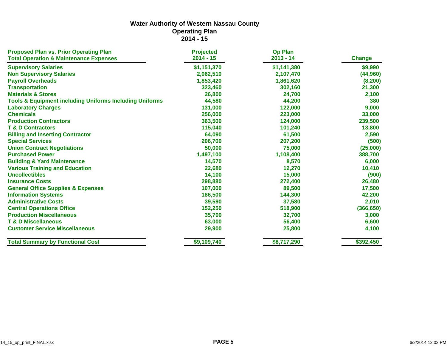| <b>Proposed Plan vs. Prior Operating Plan</b>                      | <b>Projected</b> | <b>Op Plan</b> |               |
|--------------------------------------------------------------------|------------------|----------------|---------------|
| <b>Total Operation &amp; Maintenance Expenses</b>                  | $2014 - 15$      | $2013 - 14$    | <b>Change</b> |
| <b>Supervisory Salaries</b>                                        | \$1,151,370      | \$1,141,380    | \$9,990       |
| <b>Non Supervisory Salaries</b>                                    | 2,062,510        | 2,107,470      | (44, 960)     |
| <b>Payroll Overheads</b>                                           | 1,853,420        | 1,861,620      | (8, 200)      |
| <b>Transportation</b>                                              | 323,460          | 302,160        | 21,300        |
| <b>Materials &amp; Stores</b>                                      | 26,800           | 24,700         | 2,100         |
| <b>Tools &amp; Equipment including Uniforms Including Uniforms</b> | 44,580           | 44,200         | 380           |
| <b>Laboratory Charges</b>                                          | 131,000          | 122,000        | 9,000         |
| <b>Chemicals</b>                                                   | 256,000          | 223,000        | 33,000        |
| <b>Production Contractors</b>                                      | 363,500          | 124,000        | 239,500       |
| <b>T &amp; D Contractors</b>                                       | 115,040          | 101,240        | 13,800        |
| <b>Billing and Inserting Contractor</b>                            | 64,090           | 61,500         | 2,590         |
| <b>Special Services</b>                                            | 206,700          | 207,200        | (500)         |
| <b>Union Contract Negotiations</b>                                 | 50,000           | 75,000         | (25,000)      |
| <b>Purchased Power</b>                                             | 1,497,100        | 1,108,400      | 388,700       |
| <b>Building &amp; Yard Maintenance</b>                             | 14,570           | 8,570          | 6,000         |
| <b>Various Training and Education</b>                              | 22,680           | 12,270         | 10,410        |
| <b>Uncollectibles</b>                                              | 14,100           | 15,000         | (900)         |
| <b>Insurance Costs</b>                                             | 298,880          | 272,400        | 26,480        |
| <b>General Office Supplies &amp; Expenses</b>                      | 107,000          | 89,500         | 17,500        |
| <b>Information Systems</b>                                         | 186,500          | 144,300        | 42,200        |
| <b>Administrative Costs</b>                                        | 39,590           | 37,580         | 2,010         |
| <b>Central Operations Office</b>                                   | 152,250          | 518,900        | (366, 650)    |
| <b>Production Miscellaneous</b>                                    | 35,700           | 32,700         | 3,000         |
| <b>T &amp; D Miscellaneous</b>                                     | 63,000           | 56,400         | 6,600         |
| <b>Customer Service Miscellaneous</b>                              | 29,900           | 25,800         | 4,100         |
| <b>Total Summary by Functional Cost</b>                            | \$9,109,740      | \$8,717,290    | \$392,450     |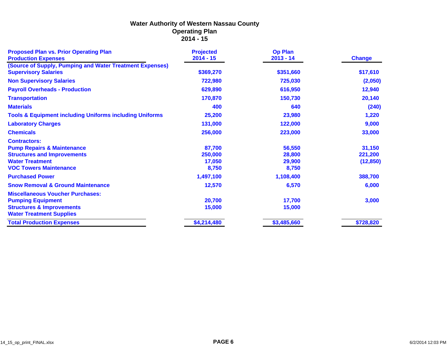| <b>Proposed Plan vs. Prior Operating Plan</b>                                           | <b>Projected</b> | <b>Op Plan</b> |               |
|-----------------------------------------------------------------------------------------|------------------|----------------|---------------|
| <b>Production Expenses</b>                                                              | $2014 - 15$      | $2013 - 14$    | <b>Change</b> |
| (Source of Supply, Pumping and Water Treatment Expenses)<br><b>Supervisory Salaries</b> | \$369,270        | \$351,660      | \$17,610      |
| <b>Non Supervisory Salaries</b>                                                         | 722,980          | 725,030        | (2,050)       |
| <b>Payroll Overheads - Production</b>                                                   | 629,890          | 616,950        | 12,940        |
| <b>Transportation</b>                                                                   | 170,870          | 150,730        | 20,140        |
| <b>Materials</b>                                                                        | 400              | 640            | (240)         |
| <b>Tools &amp; Equipment including Uniforms including Uniforms</b>                      | 25,200           | 23,980         | 1,220         |
| <b>Laboratory Charges</b>                                                               | 131,000          | 122,000        | 9,000         |
| <b>Chemicals</b>                                                                        | 256,000          | 223,000        | 33,000        |
| <b>Contractors:</b>                                                                     |                  |                |               |
| <b>Pump Repairs &amp; Maintenance</b>                                                   | 87,700           | 56,550         | 31,150        |
| <b>Structures and Improvements</b>                                                      | 250,000          | 28,800         | 221,200       |
| <b>Water Treatment</b>                                                                  | 17,050           | 29,900         | (12, 850)     |
| <b>VOC Towers Maintenance</b>                                                           | 8,750            | 8,750          |               |
| <b>Purchased Power</b>                                                                  | 1,497,100        | 1,108,400      | 388,700       |
| <b>Snow Removal &amp; Ground Maintenance</b>                                            | 12,570           | 6,570          | 6,000         |
| <b>Miscellaneous Voucher Purchases:</b>                                                 |                  |                |               |
| <b>Pumping Equipment</b>                                                                | 20,700           | 17,700         | 3,000         |
| <b>Structures &amp; Improvements</b>                                                    | 15,000           | 15,000         |               |
| <b>Water Treatment Supplies</b>                                                         |                  |                |               |
| <b>Total Production Expenses</b>                                                        | \$4,214,480      | \$3,485,660    | \$728,820     |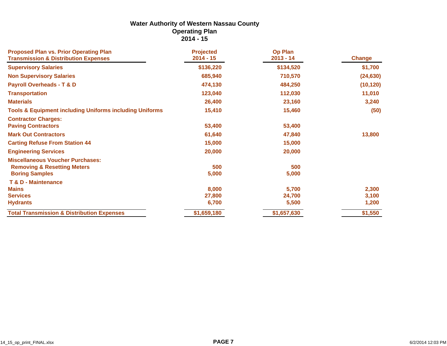| <b>Proposed Plan vs. Prior Operating Plan</b>                      | <b>Projected</b> | <b>Op Plan</b> |               |
|--------------------------------------------------------------------|------------------|----------------|---------------|
| <b>Transmission &amp; Distribution Expenses</b>                    | $2014 - 15$      | $2013 - 14$    | <b>Change</b> |
| <b>Supervisory Salaries</b>                                        | \$136,220        | \$134,520      | \$1,700       |
| <b>Non Supervisory Salaries</b>                                    | 685,940          | 710,570        | (24, 630)     |
| <b>Payroll Overheads - T &amp; D</b>                               | 474,130          | 484,250        | (10, 120)     |
| <b>Transportation</b>                                              | 123,040          | 112,030        | 11,010        |
| <b>Materials</b>                                                   | 26,400           | 23,160         | 3,240         |
| <b>Tools &amp; Equipment including Uniforms including Uniforms</b> | 15,410           | 15,460         | (50)          |
| <b>Contractor Charges:</b>                                         |                  |                |               |
| <b>Paving Contractors</b>                                          | 53,400           | 53,400         |               |
| <b>Mark Out Contractors</b>                                        | 61,640           | 47,840         | 13,800        |
| <b>Carting Refuse From Station 44</b>                              | 15,000           | 15,000         |               |
| <b>Engineering Services</b>                                        | 20,000           | 20,000         |               |
| <b>Miscellaneous Voucher Purchases:</b>                            |                  |                |               |
| <b>Removing &amp; Resetting Meters</b>                             | 500              | 500            |               |
| <b>Boring Samples</b>                                              | 5,000            | 5,000          |               |
| <b>T &amp; D - Maintenance</b>                                     |                  |                |               |
| <b>Mains</b>                                                       | 8,000            | 5,700          | 2,300         |
| <b>Services</b>                                                    | 27,800           | 24,700         | 3,100         |
| <b>Hydrants</b>                                                    | 6,700            | 5,500          | 1,200         |
| <b>Total Transmission &amp; Distribution Expenses</b>              | \$1,659,180      | \$1,657,630    | \$1,550       |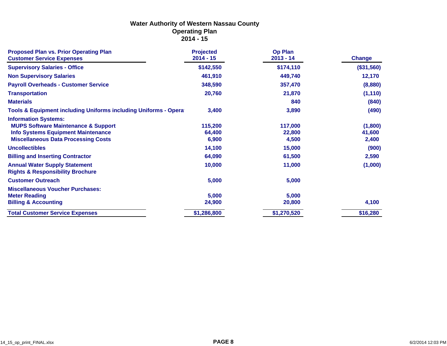| <b>Proposed Plan vs. Prior Operating Plan</b><br><b>Customer Service Expenses</b>                                                                                        | <b>Projected</b><br>$2014 - 15$ | <b>Op Plan</b><br>$2013 - 14$ | <b>Change</b>              |
|--------------------------------------------------------------------------------------------------------------------------------------------------------------------------|---------------------------------|-------------------------------|----------------------------|
| <b>Supervisory Salaries - Office</b>                                                                                                                                     | \$142,550                       | \$174,110                     | (\$31,560)                 |
| <b>Non Supervisory Salaries</b>                                                                                                                                          | 461,910                         | 449,740                       | 12,170                     |
| <b>Payroll Overheads - Customer Service</b>                                                                                                                              | 348,590                         | 357,470                       | (8,880)                    |
| <b>Transportation</b>                                                                                                                                                    | 20,760                          | 21,870                        | (1, 110)                   |
| <b>Materials</b>                                                                                                                                                         |                                 | 840                           | (840)                      |
| <b>Tools &amp; Equipment including Uniforms including Uniforms - Opera</b>                                                                                               | 3,400                           | 3,890                         | (490)                      |
| <b>Information Systems:</b><br><b>MUPS Software Maintenance &amp; Support</b><br><b>Info Systems Equipment Maintenance</b><br><b>Miscellaneous Data Processing Costs</b> | 115,200<br>64,400<br>6,900      | 117,000<br>22,800<br>4,500    | (1,800)<br>41,600<br>2,400 |
| <b>Uncollectibles</b>                                                                                                                                                    | 14,100                          | 15,000                        | (900)                      |
| <b>Billing and Inserting Contractor</b>                                                                                                                                  | 64,090                          | 61,500                        | 2,590                      |
| <b>Annual Water Supply Statement</b><br><b>Rights &amp; Responsibility Brochure</b>                                                                                      | 10,000                          | 11,000                        | (1,000)                    |
| <b>Customer Outreach</b>                                                                                                                                                 | 5,000                           | 5,000                         |                            |
| <b>Miscellaneous Voucher Purchases:</b><br><b>Meter Reading</b><br><b>Billing &amp; Accounting</b>                                                                       | 5,000<br>24,900                 | 5,000<br>20,800               | 4,100                      |
| <b>Total Customer Service Expenses</b>                                                                                                                                   | \$1,286,800                     | \$1,270,520                   | \$16,280                   |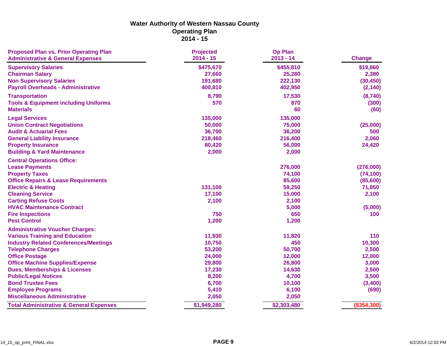| <b>Proposed Plan vs. Prior Operating Plan</b><br><b>Administrative &amp; General Expenses</b> | <b>Projected</b><br>$2014 - 15$ | <b>Op Plan</b><br>$2013 - 14$ | <b>Change</b> |
|-----------------------------------------------------------------------------------------------|---------------------------------|-------------------------------|---------------|
| <b>Supervisory Salaries</b>                                                                   | \$475,670                       | \$455,810                     | \$19,860      |
| <b>Chairman Salary</b>                                                                        | 27,660                          | 25,280                        | 2,380         |
| <b>Non Supervisory Salaries</b>                                                               | 191,680                         | 222,130                       | (30, 450)     |
| <b>Payroll Overheads - Administrative</b>                                                     | 400,810                         | 402,950                       | (2, 140)      |
| <b>Transportation</b>                                                                         | 8,790                           | 17,530                        | (8,740)       |
| <b>Tools &amp; Equipment including Uniforms</b>                                               | 570                             | 870                           | (300)         |
| <b>Materials</b>                                                                              |                                 | 60                            | (60)          |
| <b>Legal Services</b>                                                                         | 135,000                         | 135,000                       |               |
| <b>Union Contract Negotiations</b>                                                            | 50,000                          | 75,000                        | (25,000)      |
| <b>Audit &amp; Actuarial Fees</b>                                                             | 36,700                          | 36,200                        | 500           |
| <b>General Liability Insurance</b>                                                            | 218,460                         | 216,400                       | 2,060         |
| <b>Property Insurance</b>                                                                     | 80,420                          | 56,000                        | 24,420        |
| <b>Building &amp; Yard Maintenance</b>                                                        | 2,000                           | 2,000                         |               |
| <b>Central Operations Office:</b>                                                             |                                 |                               |               |
| <b>Lease Payments</b>                                                                         |                                 | 276,000                       | (276,000)     |
| <b>Property Taxes</b>                                                                         |                                 | 74,100                        | (74, 100)     |
| <b>Office Repairs &amp; Lease Requirements</b>                                                |                                 | 85,600                        | (85,600)      |
| <b>Electric &amp; Heating</b>                                                                 | 131,100                         | 59,250                        | 71,850        |
| <b>Cleaning Service</b>                                                                       | 17,100                          | 15,000                        | 2,100         |
| <b>Carting Refuse Costs</b>                                                                   | 2,100                           | 2,100                         |               |
| <b>HVAC Maintenance Contract</b>                                                              |                                 | 5,000                         | (5,000)       |
| <b>Fire Inspections</b>                                                                       | 750                             | 650                           | 100           |
| <b>Pest Control</b>                                                                           | 1,200                           | 1,200                         |               |
| <b>Administrative Voucher Charges:</b>                                                        |                                 |                               |               |
| <b>Various Training and Education</b>                                                         | 11,930                          | 11,820                        | 110           |
| <b>Industry Related Conferences/Meetings</b>                                                  | 10,750                          | 450                           | 10,300        |
| <b>Telephone Charges</b>                                                                      | 53,200                          | 50,700                        | 2,500         |
| <b>Office Postage</b>                                                                         | 24,000                          | 12,000                        | 12,000        |
| <b>Office Machine Supplies/Expense</b>                                                        | 29,800                          | 26,800                        | 3,000         |
| <b>Dues, Memberships &amp; Licenses</b>                                                       | 17,230                          | 14,630                        | 2,500         |
| <b>Public/Legal Notices</b>                                                                   | 8,200                           | 4,700                         | 3,500         |
| <b>Bond Trustee Fees</b>                                                                      | 6,700                           | 10,100                        | (3,400)       |
| <b>Employee Programs</b>                                                                      | 5,410                           | 6,100                         | (690)         |
| <b>Miscellaneous Administrative</b>                                                           | 2,050                           | 2,050                         |               |
| <b>Total Administrative &amp; General Expenses</b>                                            | \$1,949,280                     | \$2,303,480                   | (\$354,300)   |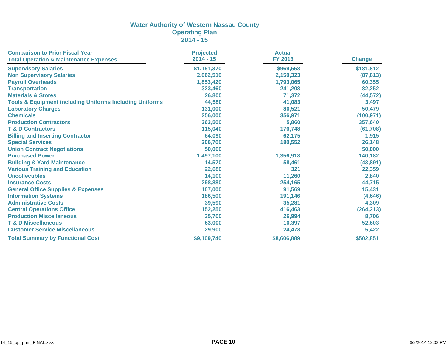| <b>Comparison to Prior Fiscal Year</b>                             | <b>Projected</b> | <b>Actual</b>  |               |
|--------------------------------------------------------------------|------------------|----------------|---------------|
| <b>Total Operation &amp; Maintenance Expenses</b>                  | $2014 - 15$      | <b>FY 2013</b> | <b>Change</b> |
| <b>Supervisory Salaries</b>                                        | \$1,151,370      | \$969,558      | \$181,812     |
| <b>Non Supervisory Salaries</b>                                    | 2,062,510        | 2,150,323      | (87, 813)     |
| <b>Payroll Overheads</b>                                           | 1,853,420        | 1,793,065      | 60,355        |
| <b>Transportation</b>                                              | 323,460          | 241,208        | 82,252        |
| <b>Materials &amp; Stores</b>                                      | 26,800           | 71,372         | (44, 572)     |
| <b>Tools &amp; Equipment including Uniforms Including Uniforms</b> | 44,580           | 41,083         | 3,497         |
| <b>Laboratory Charges</b>                                          | 131,000          | 80,521         | 50,479        |
| <b>Chemicals</b>                                                   | 256,000          | 356,971        | (100, 971)    |
| <b>Production Contractors</b>                                      | 363,500          | 5,860          | 357,640       |
| <b>T &amp; D Contractors</b>                                       | 115,040          | 176,748        | (61, 708)     |
| <b>Billing and Inserting Contractor</b>                            | 64,090           | 62,175         | 1,915         |
| <b>Special Services</b>                                            | 206,700          | 180,552        | 26,148        |
| <b>Union Contract Negotiations</b>                                 | 50,000           |                | 50,000        |
| <b>Purchased Power</b>                                             | 1,497,100        | 1,356,918      | 140,182       |
| <b>Building &amp; Yard Maintenance</b>                             | 14,570           | 58,461         | (43, 891)     |
| <b>Various Training and Education</b>                              | 22,680           | 321            | 22,359        |
| <b>Uncollectibles</b>                                              | 14,100           | 11,260         | 2,840         |
| <b>Insurance Costs</b>                                             | 298,880          | 254,165        | 44,715        |
| <b>General Office Supplies &amp; Expenses</b>                      | 107,000          | 91,569         | 15,431        |
| <b>Information Systems</b>                                         | 186,500          | 191,146        | (4,646)       |
| <b>Administrative Costs</b>                                        | 39,590           | 35,281         | 4,309         |
| <b>Central Operations Office</b>                                   | 152,250          | 416,463        | (264, 213)    |
| <b>Production Miscellaneous</b>                                    | 35,700           | 26,994         | 8,706         |
| <b>T &amp; D Miscellaneous</b>                                     | 63,000           | 10,397         | 52,603        |
| <b>Customer Service Miscellaneous</b>                              | 29,900           | 24,478         | 5,422         |
| <b>Total Summary by Functional Cost</b>                            | \$9,109,740      | \$8,606,889    | \$502,851     |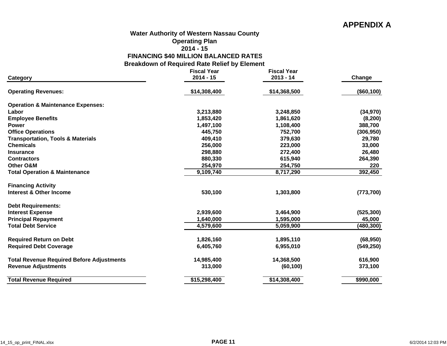## **APPENDIX A**

#### **Water Authority of Western Nassau County**

#### **Operating Plan**

#### **2014 - 15**

**FINANCING \$40 MILLION BALANCED RATES**

**Breakdown of Required Rate Relief by Element**

|                                                  | <b>Fiscal Year</b> | <b>Fiscal Year</b> |            |
|--------------------------------------------------|--------------------|--------------------|------------|
| Category                                         | $2014 - 15$        | $2013 - 14$        | Change     |
| <b>Operating Revenues:</b>                       | \$14,308,400       | \$14,368,500       | (\$60,100) |
| <b>Operation &amp; Maintenance Expenses:</b>     |                    |                    |            |
| Labor                                            | 3,213,880          | 3,248,850          | (34, 970)  |
| <b>Employee Benefits</b>                         | 1,853,420          | 1,861,620          | (8, 200)   |
| <b>Power</b>                                     | 1,497,100          | 1,108,400          | 388,700    |
| <b>Office Operations</b>                         | 445,750            | 752,700            | (306, 950) |
| <b>Transportation, Tools &amp; Materials</b>     | 409,410            | 379,630            | 29,780     |
| <b>Chemicals</b>                                 | 256,000            | 223,000            | 33,000     |
| <b>Insurance</b>                                 | 298,880            | 272,400            | 26,480     |
| <b>Contractors</b>                               | 880,330            | 615,940            | 264,390    |
| <b>Other O&amp;M</b>                             | 254,970            | 254,750            | 220        |
| <b>Total Operation &amp; Maintenance</b>         | 9,109,740          | 8,717,290          | 392,450    |
| <b>Financing Activity</b>                        |                    |                    |            |
| Interest & Other Income                          | 530,100            | 1,303,800          | (773, 700) |
| <b>Debt Requirements:</b>                        |                    |                    |            |
| <b>Interest Expense</b>                          | 2,939,600          | 3,464,900          | (525, 300) |
| <b>Principal Repayment</b>                       | 1,640,000          | 1,595,000          | 45,000     |
| <b>Total Debt Service</b>                        | 4,579,600          | 5,059,900          | (480, 300) |
| <b>Required Return on Debt</b>                   | 1,826,160          | 1,895,110          | (68, 950)  |
| <b>Required Debt Coverage</b>                    | 6,405,760          | 6,955,010          | (549, 250) |
| <b>Total Revenue Required Before Adjustments</b> | 14,985,400         | 14,368,500         | 616,900    |
| <b>Revenue Adjustments</b>                       | 313,000            | (60, 100)          | 373,100    |
| <b>Total Revenue Required</b>                    | \$15,298,400       | \$14,308,400       | \$990,000  |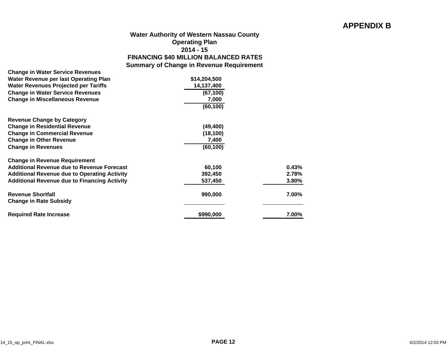## **APPENDIX B**

| <b>Water Authority of Western Nassau County</b> |
|-------------------------------------------------|
| <b>Operating Plan</b>                           |
| $2014 - 15$                                     |
| <b>FINANCING \$40 MILLION BALANCED RATES</b>    |
| <b>Summary of Change in Revenue Requirement</b> |

| <b>Change in Water Service Revenues</b>                   |              |       |
|-----------------------------------------------------------|--------------|-------|
| Water Revenue per last Operating Plan                     | \$14,204,500 |       |
| <b>Water Revenues Projected per Tariffs</b>               | 14,137,400   |       |
| <b>Change in Water Service Revenues</b>                   | (67, 100)    |       |
| <b>Change in Miscellaneous Revenue</b>                    | 7,000        |       |
|                                                           | (60, 100)    |       |
| <b>Revenue Change by Category</b>                         |              |       |
| <b>Change in Residential Revenue</b>                      | (49,400)     |       |
| <b>Change in Commercial Revenue</b>                       | (18, 100)    |       |
| <b>Change in Other Revenue</b>                            | 7,400        |       |
| <b>Change in Revenues</b>                                 | (60,100)     |       |
| <b>Change in Revenue Requirement</b>                      |              |       |
| Additional Revenue due to Revenue Forecast                | 60,100       | 0.43% |
| <b>Additional Revenue due to Operating Activity</b>       | 392,450      | 2.78% |
| <b>Additional Revenue due to Financing Activity</b>       | 537,450      | 3.80% |
| <b>Revenue Shortfall</b><br><b>Change in Rate Subsidy</b> | 990,000      | 7.00% |
| <b>Required Rate Increase</b>                             | \$990,000    | 7.00% |